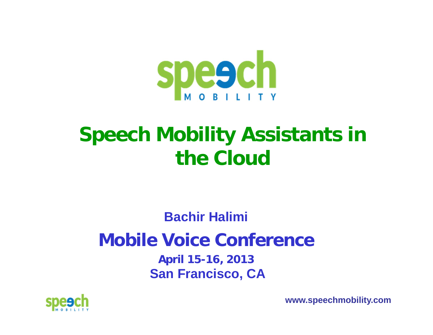

### **Speech Mobility Assistants in the Cloud**

**Bachir Halimi**

### **Mobile Voice Conference**

**April 15-16, 2013 San Francisco, CA**



**www.speechmobility.com**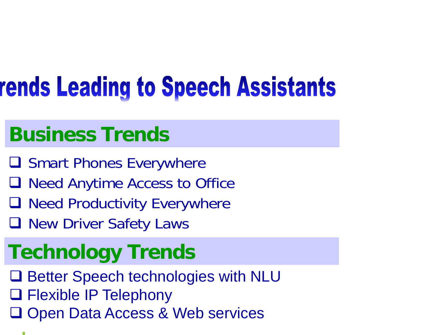# rends Leading to Speech Assistants

### **Business Trends**

- **Q Smart Phones Everywhere**
- Q Need Anytime Access to Office
- **Q** Need Productivity Everywhere
- **Q New Driver Safety Laws**

### **Technology Trends**

- Q Better Speech technologies with NLU
- Flexible IP Telephony
- **□ Open Data Access & Web services**
-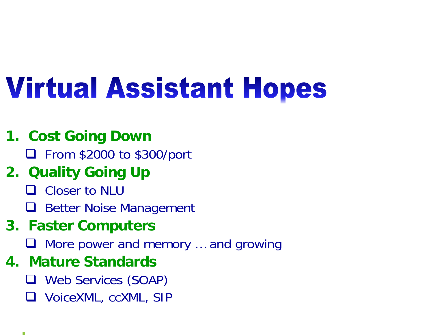# **Virtual Assistant Hopes**

#### **1. Cost Going Down**

□ From \$2000 to \$300/port

### **2. Quality Going Up**

- **Q** Closer to NLU
- $\Box$ Better Noise Management

#### **3. Faster Computers**

□ More power and memory ... and growing

#### **4. Mature Standards**

- Web Services (SOAP)
- VoiceXML, ccXML, SIP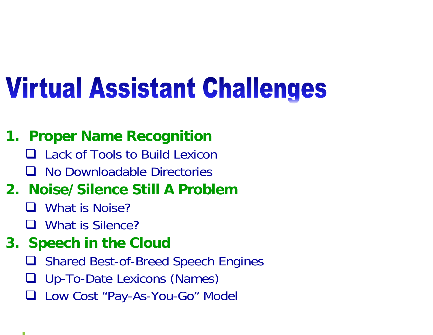# **Virtual Assistant Challenges**

#### **1. Proper Name Recognition**

- **□** Lack of Tools to Build Lexicon
- II. No Downloadable Directories

### **2. Noise/Silence Still A Problem**

- □ What is Noise?
- **Q** What is Silence?

#### **3. Speech in the Cloud**

- $\Box$ Shared Best-of-Breed Speech Engines
- $\Box$ Up-To-Date Lexicons (Names)
- $\Box$ Low Cost "Pay-As-You-Go" Model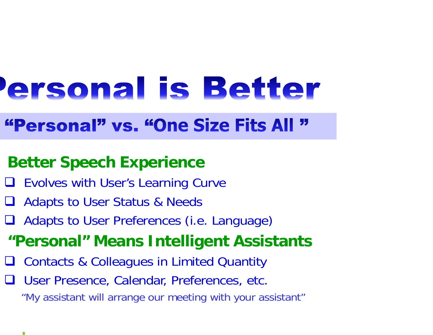# ersonal is Better

### "Personal" vs. "One Size Fits All "

#### **Better Speech Experience**

- **□ Evolves with User's Learning Curve**
- **□ Adapts to User Status & Needs**
- Adapts to User Preferences (i.e. Language)
- **"Personal" Means Intelligent Assistants**
- $\Box$ Contacts & Colleagues in Limited Quantity
- **□ User Presence, Calendar, Preferences, etc.**

"My assistant will arrange our meeting with your assistant"

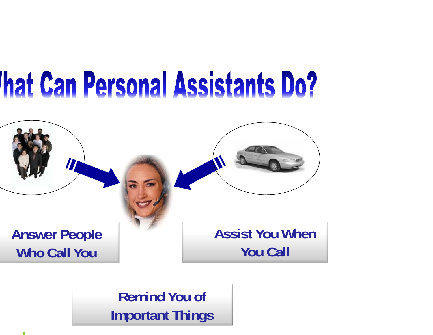# **That Can Personal Assistants Do?**



**Remind You of Important Things**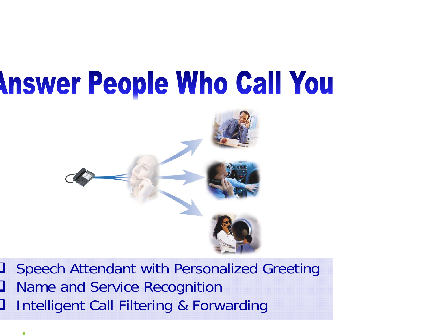# **Inswer People Who Call You**

![](_page_6_Picture_1.jpeg)

**3** Speech Attendant with Personalized Greeting <u>ן</u> Name and Service Recognition

<u>ן</u> Intelligent Call Filtering & Forwarding

![](_page_6_Picture_4.jpeg)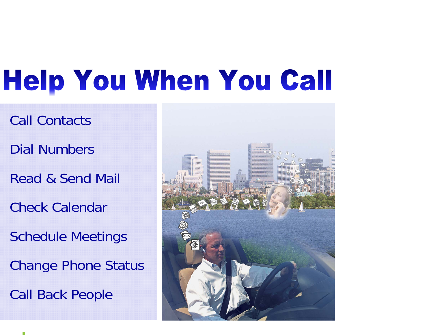# **Help You When You Call**

- Call Contacts
- Dial Numbers
- Read & Send Mail
- Check Calendar
- Schedule Meetings
- Change Phone Status
- Call Back People

![](_page_7_Picture_8.jpeg)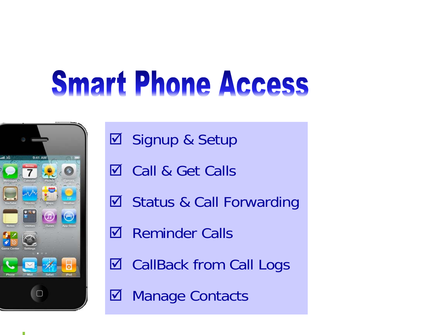# **Smart Phone Access**

![](_page_8_Picture_1.jpeg)

- **Ø Signup & Setup**
- **Ø** Call & Get Calls
- $\Delta$ Status & Call Forwarding
- $\triangledown$ Reminder Calls
- $\Delta$ CallBack from Call Logs
- $\Delta$ Manage Contacts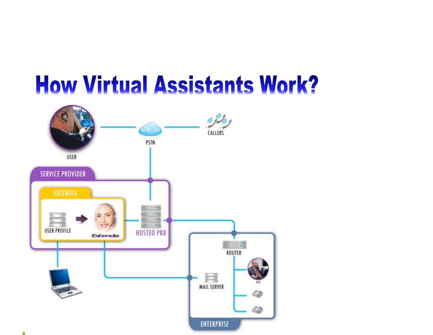## **How Virtual Assistants Work?**

![](_page_9_Figure_1.jpeg)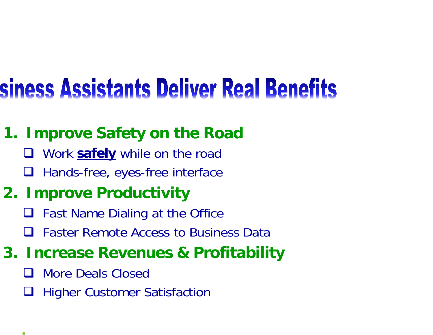## siness Assistants Deliver Real Benefits

### **1. Improve Safety on the Road**

- Work **safely** while on the road
- □ Hands-free, eyes-free interface

### **2. Improve Productivity**

- Fast Name Dialing at the Office
- $\Box$ Faster Remote Access to Business Data

### **3. Increase Revenues & Profitability**

- $\Box$ More Deals Closed
- $\Box$ Higher Customer Satisfaction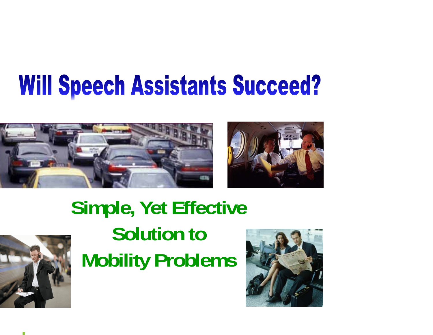## **Will Speech Assistants Succeed?**

![](_page_11_Picture_1.jpeg)

![](_page_11_Picture_2.jpeg)

### **Simple, Yet Effective Solution toMobility Problems**

![](_page_11_Picture_4.jpeg)

![](_page_11_Picture_5.jpeg)